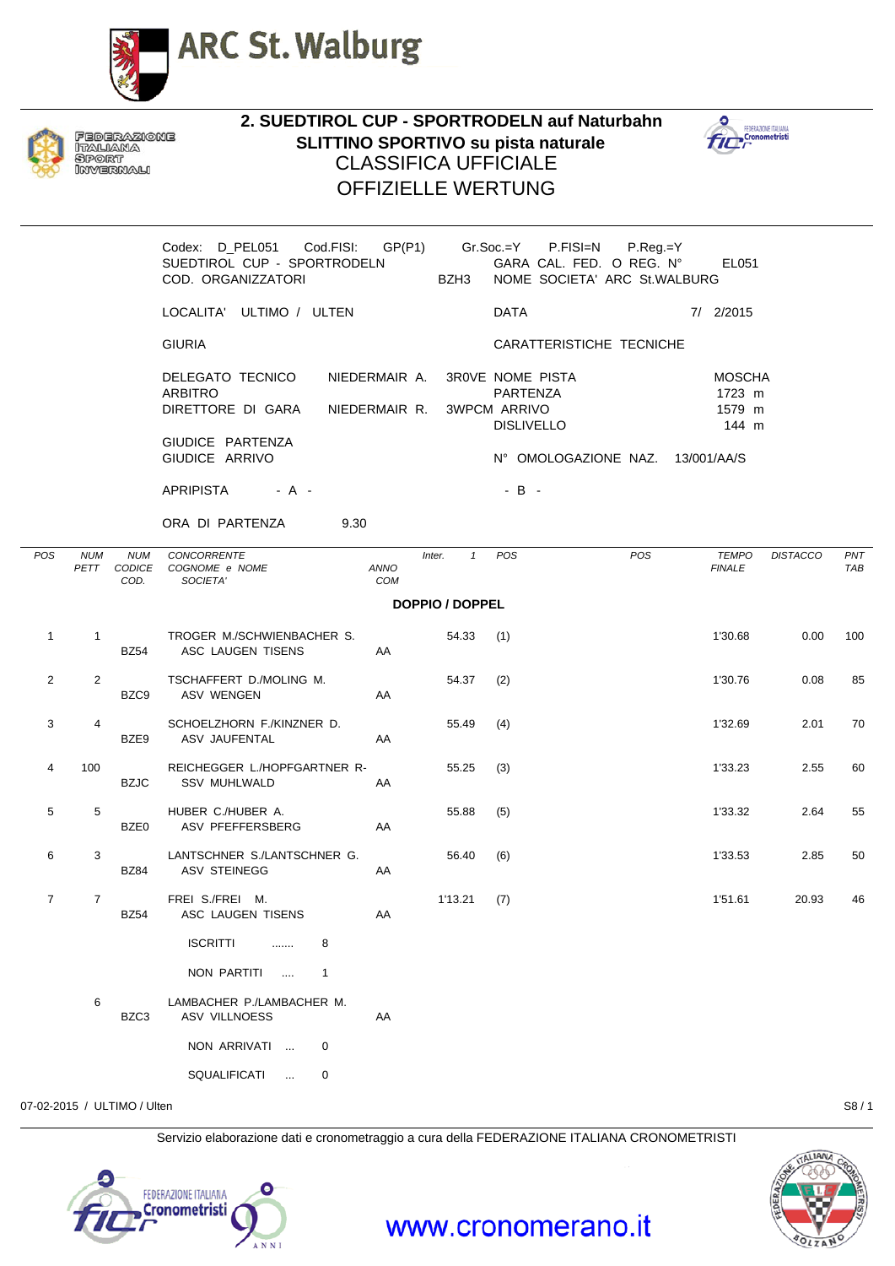



FEDERAZIONE ITALIANA SPORT INVERNALI

**2. SUEDTIROL CUP - SPORTRODELN auf Naturbahn SLITTINO SPORTIVO su pista naturale** CLASSIFICA UFFICIALE OFFIZIELLE WERTUNG



Codex: D\_PEL051 Cod.FISI: GP(P1) Gr.Soc.=Y P.FISI=N P.Reg.=Y SUEDTIROL CUP - SPORTRODELN GARA CAL. FED. O REG. N° EL051 COD. ORGANIZZATORI BZH3 NOME SOCIETA' ARC St.WALBURG LOCALITA' ULTIMO / ULTEN DATA 7/ 2/2015 GIURIA CARATTERISTICHE TECNICHE DELEGATO TECNICO NIEDERMAIR A. 3R0VE NOME PISTA MOSCHA ARBITRO PARTENZA 1723 m DIRETTORE DI GARA NIEDERMAIR R. 3WPCM ARRIVO 1579 m DISLIVELLO 144 m GIUDICE PARTENZA GIUDICE ARRIVO **N° OMOLOGAZIONE NAZ.** 13/001/AA/S  $APRIPISTA \t - A - \t - \t - B -$ 

ORA DI PARTENZA 9.30

| POS            | <b>NUM</b><br>PETT | <b>NUM</b><br>CODICE<br>COD. | <b>CONCORRENTE</b><br>COGNOME e NOME<br>SOCIETA'     | ANNO<br>COM | $\mathbf{1}$<br>Inter. | POS | POS | <b>TEMPO</b><br><b>FINALE</b> | <b>DISTACCO</b> | PNT<br>TAB |
|----------------|--------------------|------------------------------|------------------------------------------------------|-------------|------------------------|-----|-----|-------------------------------|-----------------|------------|
|                |                    |                              |                                                      |             | <b>DOPPIO / DOPPEL</b> |     |     |                               |                 |            |
| $\mathbf{1}$   | $\mathbf{1}$       |                              | TROGER M./SCHWIENBACHER S.<br>BZ54 ASC LAUGEN TISENS | AA          | $54.33$ (1)            |     |     | 1'30.68                       | 0.00            | 100        |
| $\overline{2}$ | $\overline{2}$     |                              | TSCHAFFERT D./MOLING M.<br>BZC9 ASV WENGEN           | AA          | 54.37                  | (2) |     | 1'30.76                       | 0.08            | 85         |
| 3              | 4                  |                              | SCHOELZHORN F./KINZNER D.<br>BZE9 ASV JAUFENTAL      | AA          | 55.49                  | (4) |     | 1'32.69                       | 2.01            | 70         |
| 4              | 100                | <b>BZJC</b>                  | REICHEGGER L./HOPFGARTNER R-<br><b>SSV MUHLWALD</b>  | AA          | 55.25                  | (3) |     | 1'33.23                       | 2.55            | 60         |
| 5              | 5                  |                              | HUBER C./HUBER A.<br>BZE0 ASV PFEFFERSBERG           | AA          | 55.88                  | (5) |     | 1'33.32                       | 2.64            | 55         |
| 6              | 3                  |                              | LANTSCHNER S./LANTSCHNER G.<br>BZ84 ASV STEINEGG     | AA          | 56.40                  | (6) |     | 1'33.53                       | 2.85            | 50         |
| $\overline{7}$ | $7^{\circ}$        | <b>BZ54</b>                  | FREI S./FREI M.<br>ASC LAUGEN TISENS                 | AA          | 1'13.21                | (7) |     | 1'51.61                       | 20.93           | 46         |
|                |                    |                              | ISCRITTI  8<br>NON PARTITI<br>$\overline{1}$         |             |                        |     |     |                               |                 |            |
|                | 6                  | BZC3                         | LAMBACHER P./LAMBACHER M.<br>ASV VILLNOESS           | AA          |                        |     |     |                               |                 |            |
|                |                    |                              | NON ARRIVATI<br>$\overline{0}$                       |             |                        |     |     |                               |                 |            |
|                |                    |                              | SQUALIFICATI<br>$\mathbf 0$                          |             |                        |     |     |                               |                 |            |

07-02-2015 / ULTIMO / Ulten S8 / 1

Servizio elaborazione dati e cronometraggio a cura della FEDERAZIONE ITALIANA CRONOMETRISTI

www.cronomerano.it



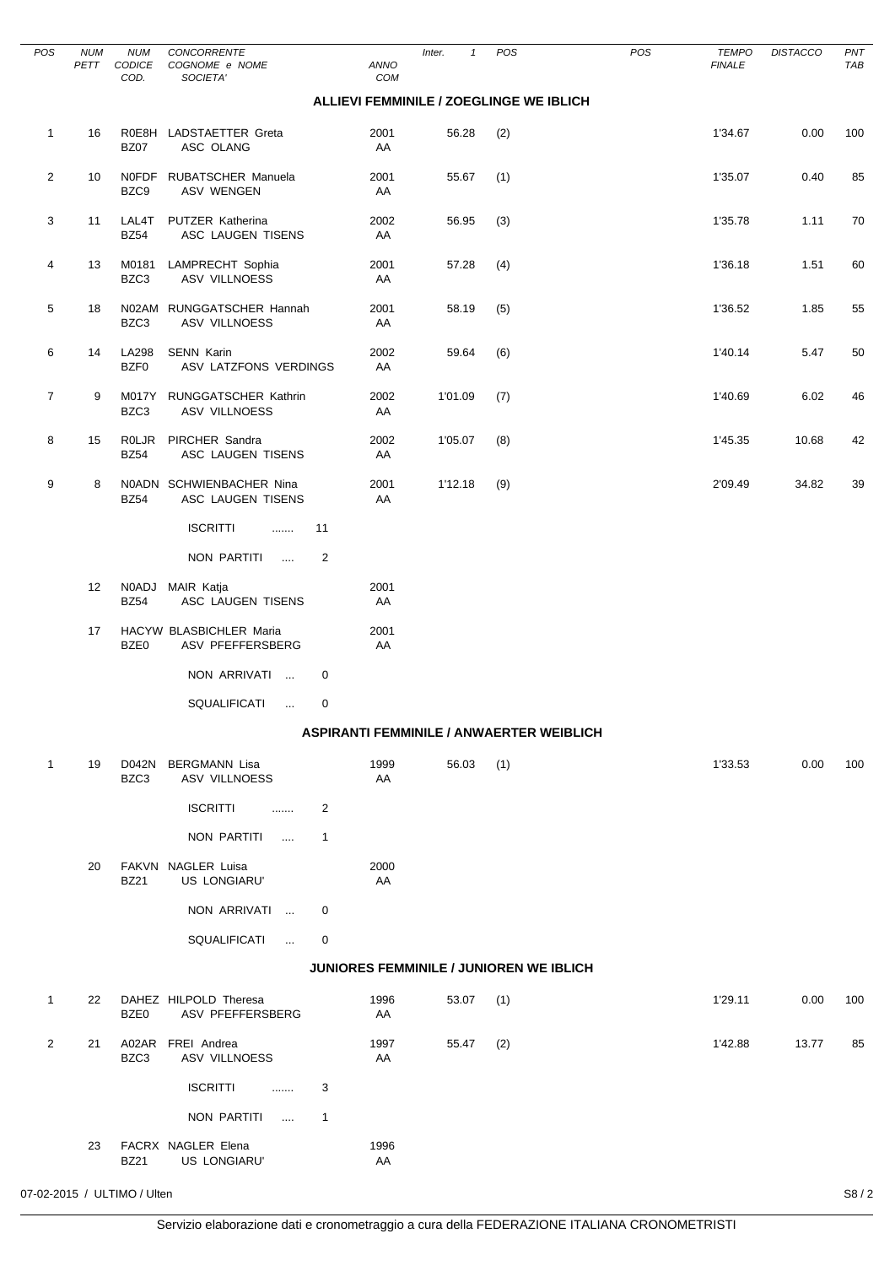| <b>POS</b>     | <b>NUM</b><br>PETT | <b>NUM</b><br>CODICE<br>COD. | <b>CONCORRENTE</b><br>COGNOME e NOME<br>SOCIETA' |                      | ANNO<br>COM | $\mathbf{1}$<br>Inter.                          | POS | POS | <b>TEMPO</b><br><b>FINALE</b> | <b>DISTACCO</b> | PNT<br>TAB |
|----------------|--------------------|------------------------------|--------------------------------------------------|----------------------|-------------|-------------------------------------------------|-----|-----|-------------------------------|-----------------|------------|
|                |                    |                              |                                                  |                      |             | ALLIEVI FEMMINILE / ZOEGLINGE WE IBLICH         |     |     |                               |                 |            |
| $\mathbf{1}$   | 16                 | <b>BZ07</b>                  | R0E8H LADSTAETTER Greta<br>ASC OLANG             |                      | 2001<br>AA  | 56.28                                           | (2) |     | 1'34.67                       | 0.00            | 100        |
| $\overline{2}$ | 10                 | BZC9                         | NOFDF RUBATSCHER Manuela<br>ASV WENGEN           |                      | 2001<br>AA  | 55.67                                           | (1) |     | 1'35.07                       | 0.40            | 85         |
| 3              | 11                 | LAL4T<br><b>BZ54</b>         | PUTZER Katherina<br>ASC LAUGEN TISENS            |                      | 2002<br>AA  | 56.95                                           | (3) |     | 1'35.78                       | 1.11            | 70         |
| 4              | 13                 | M0181<br>BZC3                | LAMPRECHT Sophia<br>ASV VILLNOESS                |                      | 2001<br>AA  | 57.28                                           | (4) |     | 1'36.18                       | 1.51            | 60         |
| 5              | 18                 | N02AM<br>BZC3                | RUNGGATSCHER Hannah<br>ASV VILLNOESS             |                      | 2001<br>AA  | 58.19                                           | (5) |     | 1'36.52                       | 1.85            | 55         |
| 6              | 14                 | LA298<br>BZF0                | <b>SENN Karin</b><br>ASV LATZFONS VERDINGS       |                      | 2002<br>AA  | 59.64                                           | (6) |     | 1'40.14                       | 5.47            | 50         |
| $\overline{7}$ | 9                  | M017Y<br>BZC3                | RUNGGATSCHER Kathrin<br>ASV VILLNOESS            |                      | 2002<br>AA  | 1'01.09                                         | (7) |     | 1'40.69                       | 6.02            | 46         |
| 8              | 15                 | <b>ROLJR</b><br><b>BZ54</b>  | PIRCHER Sandra<br>ASC LAUGEN TISENS              |                      | 2002<br>AA  | 1'05.07                                         | (8) |     | 1'45.35                       | 10.68           | 42         |
| 9              | 8                  | <b>BZ54</b>                  | N0ADN SCHWIENBACHER Nina<br>ASC LAUGEN TISENS    |                      | 2001<br>AA  | 1'12.18                                         | (9) |     | 2'09.49                       | 34.82           | 39         |
|                |                    |                              | <b>ISCRITTI</b><br>.<br>NON PARTITI<br>$\cdots$  | 11<br>$\overline{2}$ |             |                                                 |     |     |                               |                 |            |
|                | 12                 | <b>BZ54</b>                  | N0ADJ MAIR Katja<br>ASC LAUGEN TISENS            |                      | 2001<br>AA  |                                                 |     |     |                               |                 |            |
|                | 17                 | BZE0                         | HACYW BLASBICHLER Maria<br>ASV PFEFFERSBERG      |                      | 2001<br>AA  |                                                 |     |     |                               |                 |            |
|                |                    |                              | NON ARRIVATI                                     | 0                    |             |                                                 |     |     |                               |                 |            |
|                |                    |                              | SQUALIFICATI<br>$\ldots$                         | 0                    |             |                                                 |     |     |                               |                 |            |
|                |                    |                              |                                                  |                      |             | <b>ASPIRANTI FEMMINILE / ANWAERTER WEIBLICH</b> |     |     |                               |                 |            |
| 1              | 19                 | BZC3                         | D042N BERGMANN Lisa<br>ASV VILLNOESS             |                      | 1999<br>AA  | 56.03                                           | (1) |     | 1'33.53                       | 0.00            | 100        |
|                |                    |                              | <b>ISCRITTI</b><br>.                             | 2                    |             |                                                 |     |     |                               |                 |            |
|                |                    |                              | NON PARTITI<br>$\sim$                            | $\mathbf{1}$         |             |                                                 |     |     |                               |                 |            |
|                | 20                 | <b>BZ21</b>                  | FAKVN NAGLER Luisa<br>US LONGIARU'               |                      | 2000<br>AA  |                                                 |     |     |                               |                 |            |
|                |                    |                              | NON ARRIVATI                                     | 0                    |             |                                                 |     |     |                               |                 |            |
|                |                    |                              | SQUALIFICATI<br>$\sim 100$                       | 0                    |             |                                                 |     |     |                               |                 |            |
|                |                    |                              |                                                  |                      |             | <b>JUNIORES FEMMINILE / JUNIOREN WE IBLICH</b>  |     |     |                               |                 |            |
| $\mathbf{1}$   | 22                 | BZE0                         | DAHEZ HILPOLD Theresa<br>ASV PFEFFERSBERG        |                      | 1996<br>AA  | 53.07                                           | (1) |     | 1'29.11                       | 0.00            | 100        |
| 2              | 21                 | BZC3                         | A02AR FREI Andrea<br>ASV VILLNOESS               |                      | 1997<br>AA  | 55.47                                           | (2) |     | 1'42.88                       | 13.77           | 85         |
|                |                    |                              | <b>ISCRITTI</b><br>.                             | 3                    |             |                                                 |     |     |                               |                 |            |
|                |                    |                              | NON PARTITI<br>$\overline{\phantom{a}}$          | $\mathbf{1}$         |             |                                                 |     |     |                               |                 |            |
|                | 23                 | <b>BZ21</b>                  | FACRX NAGLER Elena<br>US LONGIARU'               |                      | 1996<br>AA  |                                                 |     |     |                               |                 |            |

 $\overline{\phantom{0}}$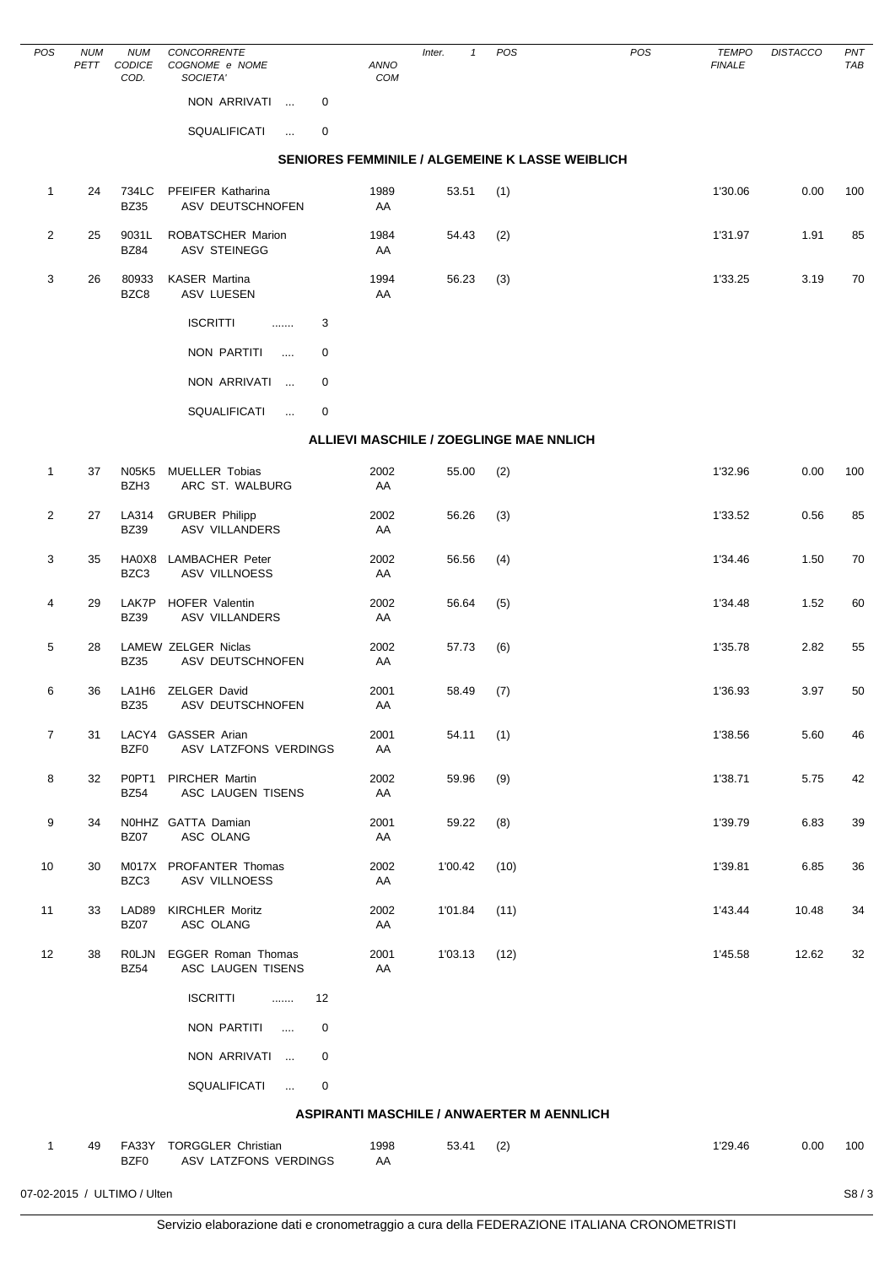| POS            | <b>NUM</b><br>PETT | <b>NUM</b><br>CODICE<br>COD. | CONCORRENTE<br>COGNOME e NOME<br>SOCIETA'         | ANNO<br>COM                               | Inter.<br>$\mathbf{1}$ | POS  | POS                                             | <b>TEMPO</b><br><b>FINALE</b> | <b>DISTACCO</b> | PNT<br>TAB |
|----------------|--------------------|------------------------------|---------------------------------------------------|-------------------------------------------|------------------------|------|-------------------------------------------------|-------------------------------|-----------------|------------|
|                |                    |                              | NON ARRIVATI<br>0                                 |                                           |                        |      |                                                 |                               |                 |            |
|                |                    |                              | SQUALIFICATI<br>0<br>$\ddotsc$                    |                                           |                        |      |                                                 |                               |                 |            |
|                |                    |                              |                                                   |                                           |                        |      | SENIORES FEMMINILE / ALGEMEINE K LASSE WEIBLICH |                               |                 |            |
| $\mathbf{1}$   | 24                 | 734LC<br><b>BZ35</b>         | PFEIFER Katharina<br>ASV DEUTSCHNOFEN             | 1989<br>AA                                | 53.51                  | (1)  |                                                 | 1'30.06                       | 0.00            | 100        |
| $\overline{2}$ | 25                 | 9031L<br><b>BZ84</b>         | ROBATSCHER Marion<br><b>ASV STEINEGG</b>          | 1984<br>AA                                | 54.43                  | (2)  |                                                 | 1'31.97                       | 1.91            | 85         |
| 3              | 26                 | 80933<br>BZC8                | <b>KASER Martina</b><br>ASV LUESEN                | 1994<br>AA                                | 56.23                  | (3)  |                                                 | 1'33.25                       | 3.19            | 70         |
|                |                    |                              | <b>ISCRITTI</b><br>3<br>.                         |                                           |                        |      |                                                 |                               |                 |            |
|                |                    |                              | <b>NON PARTITI</b><br>0<br>$\sim$                 |                                           |                        |      |                                                 |                               |                 |            |
|                |                    |                              | NON ARRIVATI<br>0                                 |                                           |                        |      |                                                 |                               |                 |            |
|                |                    |                              | <b>SQUALIFICATI</b><br>0<br>$\ddotsc$             |                                           |                        |      |                                                 |                               |                 |            |
|                |                    |                              |                                                   | ALLIEVI MASCHILE / ZOEGLINGE MAE NNLICH   |                        |      |                                                 |                               |                 |            |
| $\mathbf{1}$   | 37                 | N05K5<br>BZH3                | <b>MUELLER Tobias</b><br>ARC ST. WALBURG          | 2002<br>AA                                | 55.00                  | (2)  |                                                 | 1'32.96                       | 0.00            | 100        |
| $\overline{2}$ | 27                 | LA314<br><b>BZ39</b>         | <b>GRUBER Philipp</b><br><b>ASV VILLANDERS</b>    | 2002<br>AA                                | 56.26                  | (3)  |                                                 | 1'33.52                       | 0.56            | 85         |
| 3              | 35                 | HA0X8<br>BZC3                | <b>LAMBACHER Peter</b><br><b>ASV VILLNOESS</b>    | 2002<br>AA                                | 56.56                  | (4)  |                                                 | 1'34.46                       | 1.50            | 70         |
| 4              | 29                 | LAK7P<br><b>BZ39</b>         | <b>HOFER Valentin</b><br><b>ASV VILLANDERS</b>    | 2002<br>AA                                | 56.64                  | (5)  |                                                 | 1'34.48                       | 1.52            | 60         |
| 5              | 28                 | <b>BZ35</b>                  | LAMEW ZELGER Niclas<br>ASV DEUTSCHNOFEN           | 2002<br>AA                                | 57.73                  | (6)  |                                                 | 1'35.78                       | 2.82            | 55         |
| 6              | 36                 | LA1H6<br><b>BZ35</b>         | <b>ZELGER David</b><br>ASV DEUTSCHNOFEN           | 2001<br>AA                                | 58.49                  | (7)  |                                                 | 1'36.93                       | 3.97            | 50         |
| $\overline{7}$ | 31                 | BZF0                         | LACY4 GASSER Arian<br>ASV LATZFONS VERDINGS       | 2001<br>AA                                | 54.11                  | (1)  |                                                 | 1'38.56                       | 5.60            | 46         |
| 8              | 32                 | P0PT1<br><b>BZ54</b>         | <b>PIRCHER Martin</b><br>ASC LAUGEN TISENS        | 2002<br>AA                                | 59.96                  | (9)  |                                                 | 1'38.71                       | 5.75            | 42         |
| 9              | 34                 | BZ07                         | N0HHZ GATTA Damian<br>ASC OLANG                   | 2001<br>AA                                | 59.22                  | (8)  |                                                 | 1'39.79                       | 6.83            | 39         |
| 10             | 30                 | BZC3                         | M017X PROFANTER Thomas<br>ASV VILLNOESS           | 2002<br>AA                                | 1'00.42                | (10) |                                                 | 1'39.81                       | 6.85            | 36         |
| 11             | 33                 | LAD89<br>BZ07                | <b>KIRCHLER Moritz</b><br>ASC OLANG               | 2002<br>AA                                | 1'01.84                | (11) |                                                 | 1'43.44                       | 10.48           | 34         |
| 12             | 38                 | <b>BZ54</b>                  | ROLJN EGGER Roman Thomas<br>ASC LAUGEN TISENS     | 2001<br>AA                                | 1'03.13                | (12) |                                                 | 1'45.58                       | 12.62           | 32         |
|                |                    |                              | <b>ISCRITTI</b><br>12<br>$\ldots$                 |                                           |                        |      |                                                 |                               |                 |            |
|                |                    |                              | NON PARTITI<br>0<br>$\sim$ . $\sim$               |                                           |                        |      |                                                 |                               |                 |            |
|                |                    |                              | NON ARRIVATI<br>0                                 |                                           |                        |      |                                                 |                               |                 |            |
|                |                    |                              | SQUALIFICATI<br>$\sim 10^{-1}$<br>0               |                                           |                        |      |                                                 |                               |                 |            |
|                |                    |                              |                                                   | ASPIRANTI MASCHILE / ANWAERTER M AENNLICH |                        |      |                                                 |                               |                 |            |
| $\mathbf{1}$   | 49                 | BZF0                         | FA33Y TORGGLER Christian<br>ASV LATZFONS VERDINGS | 1998<br>AA                                | 53.41                  | (2)  |                                                 | 1'29.46                       | 0.00            | 100        |
|                |                    | 07-02-2015 / ULTIMO / Ulten  |                                                   |                                           |                        |      |                                                 |                               |                 | S8/3       |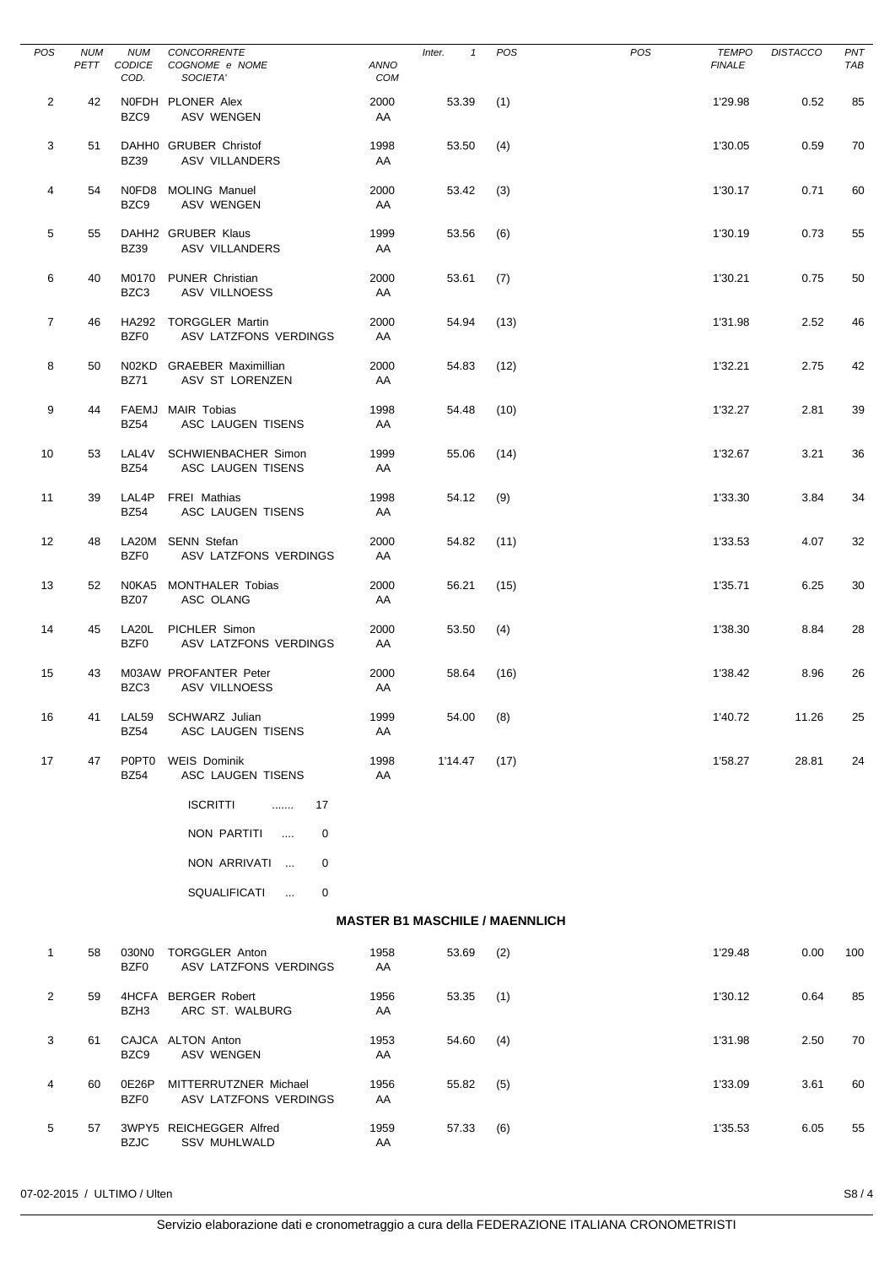| <b>POS</b>      | <b>NUM</b><br>PETT | <b>NUM</b><br>CODICE<br>COD.     | CONCORRENTE<br>COGNOME e NOME<br>SOCIETA'       | ANNO<br>COM | Inter.<br>$\mathbf{1}$                | POS  | POS | <b>TEMPO</b><br><b>FINALE</b> | <b>DISTACCO</b> | PNT<br>TAB |
|-----------------|--------------------|----------------------------------|-------------------------------------------------|-------------|---------------------------------------|------|-----|-------------------------------|-----------------|------------|
| $\overline{2}$  | 42                 | BZC9                             | NOFDH PLONER Alex<br><b>ASV WENGEN</b>          | 2000<br>AA  | 53.39                                 | (1)  |     | 1'29.98                       | 0.52            | 85         |
| 3               | 51                 | <b>BZ39</b>                      | DAHH0 GRUBER Christof<br>ASV VILLANDERS         | 1998<br>AA  | 53.50                                 | (4)  |     | 1'30.05                       | 0.59            | 70         |
| 4               | 54                 | BZC9                             | N0FD8 MOLING Manuel<br>ASV WENGEN               | 2000<br>AA  | 53.42                                 | (3)  |     | 1'30.17                       | 0.71            | 60         |
| 5               | 55                 | <b>BZ39</b>                      | DAHH2 GRUBER Klaus<br><b>ASV VILLANDERS</b>     | 1999<br>AA  | 53.56                                 | (6)  |     | 1'30.19                       | 0.73            | 55         |
| 6               | 40                 | BZC3                             | M0170 PUNER Christian<br>ASV VILLNOESS          | 2000<br>AA  | 53.61                                 | (7)  |     | 1'30.21                       | 0.75            | 50         |
| $\overline{7}$  | 46                 | BZF <sub>0</sub>                 | HA292 TORGGLER Martin<br>ASV LATZFONS VERDINGS  | 2000<br>AA  | 54.94                                 | (13) |     | 1'31.98                       | 2.52            | 46         |
| 8               | 50                 | <b>BZ71</b>                      | N02KD GRAEBER Maximillian<br>ASV ST LORENZEN    | 2000<br>AA  | 54.83                                 | (12) |     | 1'32.21                       | 2.75            | 42         |
| 9               | 44                 | <b>BZ54</b>                      | FAEMJ MAIR Tobias<br>ASC LAUGEN TISENS          | 1998<br>AA  | 54.48                                 | (10) |     | 1'32.27                       | 2.81            | 39         |
| 10              | 53                 | LAL4V<br><b>BZ54</b>             | <b>SCHWIENBACHER Simon</b><br>ASC LAUGEN TISENS | 1999<br>AA  | 55.06                                 | (14) |     | 1'32.67                       | 3.21            | 36         |
| 11              | 39                 | LAL4P<br><b>BZ54</b>             | <b>FREI</b> Mathias<br>ASC LAUGEN TISENS        | 1998<br>AA  | 54.12                                 | (9)  |     | 1'33.30                       | 3.84            | 34         |
| 12 <sup>2</sup> | 48                 | LA20M<br>BZF0                    | <b>SENN Stefan</b><br>ASV LATZFONS VERDINGS     | 2000<br>AA  | 54.82                                 | (11) |     | 1'33.53                       | 4.07            | 32         |
| 13              | 52                 | <b>BZ07</b>                      | N0KA5 MONTHALER Tobias<br>ASC OLANG             | 2000<br>AA  | 56.21                                 | (15) |     | 1'35.71                       | 6.25            | 30         |
| 14              | 45                 | LA20L<br>BZF0                    | PICHLER Simon<br>ASV LATZFONS VERDINGS          | 2000<br>AA  | 53.50                                 | (4)  |     | 1'38.30                       | 8.84            | 28         |
| 15              | 43                 | BZC <sub>3</sub>                 | M03AW PROFANTER Peter<br><b>ASV VILLNOESS</b>   | 2000<br>AA  | 58.64                                 | (16) |     | 1'38.42                       | 8.96            | 26         |
| 16              | 41                 | LAL59<br><b>BZ54</b>             | SCHWARZ Julian<br>ASC LAUGEN TISENS             | 1999<br>AA  | 54.00                                 | (8)  |     | 1'40.72                       | 11.26           | 25         |
| 17              | 47                 | P0PT <sub>0</sub><br><b>BZ54</b> | <b>WEIS Dominik</b><br>ASC LAUGEN TISENS        | 1998<br>AA  | 1'14.47                               | (17) |     | 1'58.27                       | 28.81           | 24         |
|                 |                    |                                  | <b>ISCRITTI</b><br>17<br>$\ldots$               |             |                                       |      |     |                               |                 |            |
|                 |                    |                                  | NON PARTITI<br>0<br>$\ddotsc$                   |             |                                       |      |     |                               |                 |            |
|                 |                    |                                  | NON ARRIVATI<br>0                               |             |                                       |      |     |                               |                 |            |
|                 |                    |                                  | SQUALIFICATI<br>0<br>$\sim$                     |             |                                       |      |     |                               |                 |            |
|                 |                    |                                  |                                                 |             | <b>MASTER B1 MASCHILE / MAENNLICH</b> |      |     |                               |                 |            |
| $\mathbf{1}$    | 58                 | 030N0<br>BZF0                    | <b>TORGGLER Anton</b><br>ASV LATZFONS VERDINGS  | 1958<br>AA  | 53.69                                 | (2)  |     | 1'29.48                       | 0.00            | 100        |
| $\overline{2}$  | 59                 | BZH3                             | 4HCFA BERGER Robert<br>ARC ST. WALBURG          | 1956<br>AA  | 53.35                                 | (1)  |     | 1'30.12                       | 0.64            | 85         |
| 3               | 61                 | BZC9                             | CAJCA ALTON Anton<br>ASV WENGEN                 | 1953<br>AA  | 54.60                                 | (4)  |     | 1'31.98                       | 2.50            | 70         |
| 4               | 60                 | 0E26P<br>BZF0                    | MITTERRUTZNER Michael<br>ASV LATZFONS VERDINGS  | 1956<br>AA  | 55.82                                 | (5)  |     | 1'33.09                       | 3.61            | 60         |
| 5               | 57                 | <b>BZJC</b>                      | 3WPY5 REICHEGGER Alfred<br><b>SSV MUHLWALD</b>  | 1959<br>AA  | 57.33                                 | (6)  |     | 1'35.53                       | 6.05            | 55         |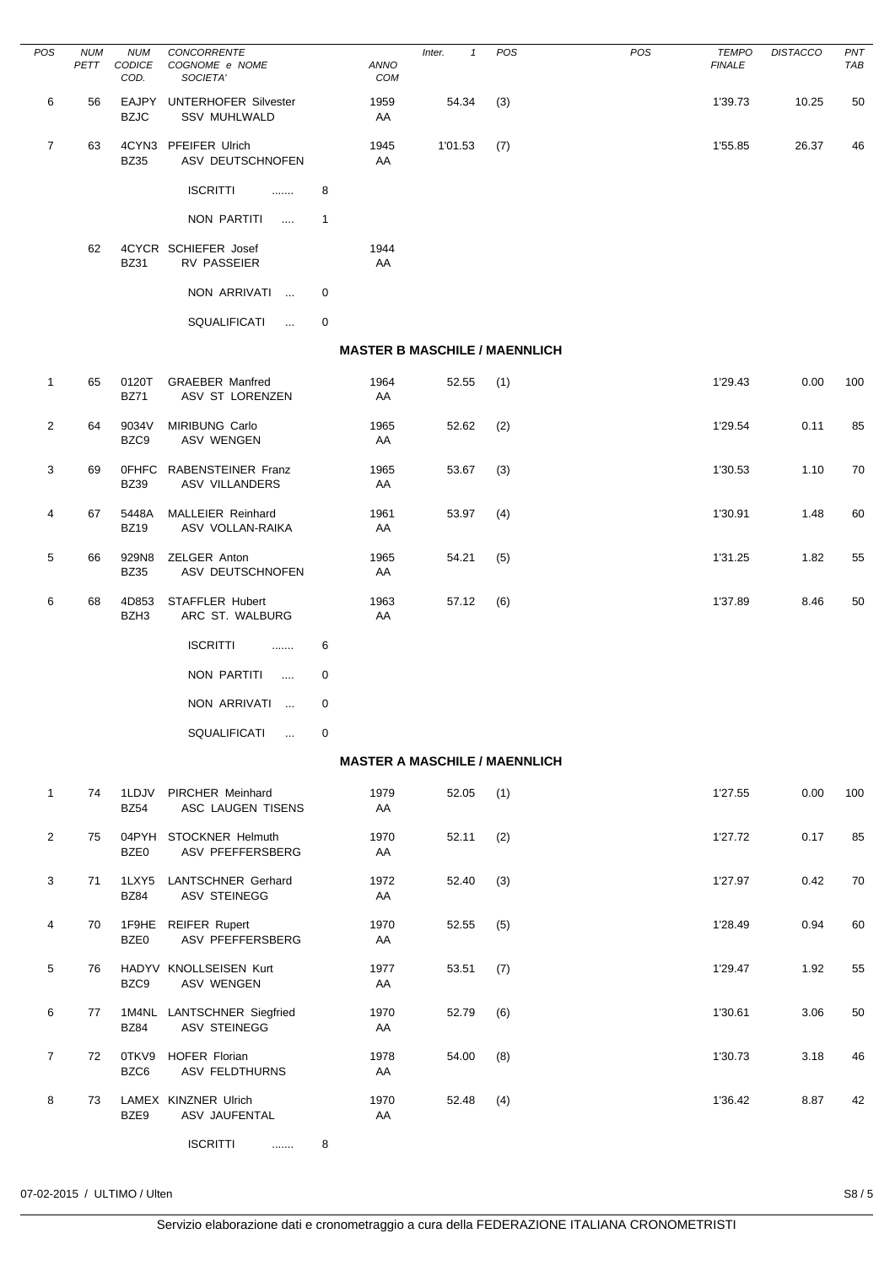| POS            | <b>NUM</b><br>PETT | <b>NUM</b><br>CODICE<br>COD. | CONCORRENTE<br>COGNOME e NOME<br>SOCIETA'          |              | ANNO<br>COM | Inter.<br>$\mathbf{1}$               | POS | <b>POS</b> | <b>TEMPO</b><br><b>FINALE</b> | <b>DISTACCO</b> | PNT<br>TAB |
|----------------|--------------------|------------------------------|----------------------------------------------------|--------------|-------------|--------------------------------------|-----|------------|-------------------------------|-----------------|------------|
| 6              | 56                 | EAJPY<br><b>BZJC</b>         | <b>UNTERHOFER Silvester</b><br><b>SSV MUHLWALD</b> |              | 1959<br>AA  | 54.34                                | (3) |            | 1'39.73                       | 10.25           | 50         |
| $\overline{7}$ | 63                 | <b>BZ35</b>                  | 4CYN3 PFEIFER Ulrich<br>ASV DEUTSCHNOFEN           |              | 1945<br>AA  | 1'01.53                              | (7) |            | 1'55.85                       | 26.37           | 46         |
|                |                    |                              | <b>ISCRITTI</b><br>.                               | 8            |             |                                      |     |            |                               |                 |            |
|                |                    |                              | NON PARTITI<br>$\cdots$                            | $\mathbf{1}$ |             |                                      |     |            |                               |                 |            |
|                | 62                 | <b>BZ31</b>                  | 4CYCR SCHIEFER Josef<br>RV PASSEIER                |              | 1944<br>AA  |                                      |     |            |                               |                 |            |
|                |                    |                              | NON ARRIVATI<br>$\sim$                             | 0            |             |                                      |     |            |                               |                 |            |
|                |                    |                              | SQUALIFICATI<br>$\sim 10^{-1}$                     | 0            |             |                                      |     |            |                               |                 |            |
|                |                    |                              |                                                    |              |             | <b>MASTER B MASCHILE / MAENNLICH</b> |     |            |                               |                 |            |
| $\mathbf{1}$   | 65                 | 0120T<br><b>BZ71</b>         | <b>GRAEBER Manfred</b><br>ASV ST LORENZEN          |              | 1964<br>AA  | 52.55                                | (1) |            | 1'29.43                       | 0.00            | 100        |
| $\overline{2}$ | 64                 | 9034V<br>BZC9                | MIRIBUNG Carlo<br><b>ASV WENGEN</b>                |              | 1965<br>AA  | 52.62                                | (2) |            | 1'29.54                       | 0.11            | 85         |
| 3              | 69                 | <b>OFHFC</b><br><b>BZ39</b>  | RABENSTEINER Franz<br>ASV VILLANDERS               |              | 1965<br>AA  | 53.67                                | (3) |            | 1'30.53                       | 1.10            | 70         |
| 4              | 67                 | 5448A<br><b>BZ19</b>         | <b>MALLEIER Reinhard</b><br>ASV VOLLAN-RAIKA       |              | 1961<br>AA  | 53.97                                | (4) |            | 1'30.91                       | 1.48            | 60         |
| 5              | 66                 | 929N8<br><b>BZ35</b>         | ZELGER Anton<br>ASV DEUTSCHNOFEN                   |              | 1965<br>AA  | 54.21                                | (5) |            | 1'31.25                       | 1.82            | 55         |
| 6              | 68                 | 4D853<br>BZH3                | STAFFLER Hubert<br>ARC ST. WALBURG                 |              | 1963<br>AA  | 57.12                                | (6) |            | 1'37.89                       | 8.46            | 50         |
|                |                    |                              | <b>ISCRITTI</b><br>                                | 6            |             |                                      |     |            |                               |                 |            |
|                |                    |                              | NON PARTITI<br>$\sim$                              | 0            |             |                                      |     |            |                               |                 |            |
|                |                    |                              | NON ARRIVATI<br>$\ddotsc$                          | 0            |             |                                      |     |            |                               |                 |            |
|                |                    |                              | SQUALIFICATI<br>$\sim 100$                         | $\mathbf 0$  |             |                                      |     |            |                               |                 |            |
|                |                    |                              |                                                    |              |             | <b>MASTER A MASCHILE / MAENNLICH</b> |     |            |                               |                 |            |
| $\mathbf{1}$   | 74                 | <b>BZ54</b>                  | 1LDJV PIRCHER Meinhard<br>ASC LAUGEN TISENS        |              | 1979<br>AA  | 52.05                                | (1) |            | 1'27.55                       | 0.00            | 100        |
| $\overline{2}$ | 75                 | BZE0                         | 04PYH STOCKNER Helmuth<br>ASV PFEFFERSBERG         |              | 1970<br>AA  | 52.11                                | (2) |            | 1'27.72                       | 0.17            | 85         |
| 3              | 71                 | <b>BZ84</b>                  | 1LXY5 LANTSCHNER Gerhard<br><b>ASV STEINEGG</b>    |              | 1972<br>AA  | 52.40                                | (3) |            | 1'27.97                       | 0.42            | 70         |
| 4              | 70                 | BZE0                         | 1F9HE REIFER Rupert<br>ASV PFEFFERSBERG            |              | 1970<br>AA  | 52.55                                | (5) |            | 1'28.49                       | 0.94            | 60         |
| 5              | 76                 | BZC9                         | HADYV KNOLLSEISEN Kurt<br><b>ASV WENGEN</b>        |              | 1977<br>AA  | 53.51                                | (7) |            | 1'29.47                       | 1.92            | 55         |
| 6              | 77                 | <b>BZ84</b>                  | 1M4NL LANTSCHNER Siegfried<br>ASV STEINEGG         |              | 1970<br>AA  | 52.79                                | (6) |            | 1'30.61                       | 3.06            | 50         |
| $\overline{7}$ | 72                 | BZC6                         | 0TKV9 HOFER Florian<br><b>ASV FELDTHURNS</b>       |              | 1978<br>AA  | 54.00                                | (8) |            | 1'30.73                       | 3.18            | 46         |
| 8              | 73                 | BZE9                         | LAMEX KINZNER Ulrich<br>ASV JAUFENTAL              |              | 1970<br>AA  | 52.48                                | (4) |            | 1'36.42                       | 8.87            | 42         |
|                |                    |                              | <b>ISCRITTI</b><br>.                               | 8            |             |                                      |     |            |                               |                 |            |

07-02-2015 / ULTIMO / Ulten S8 / 5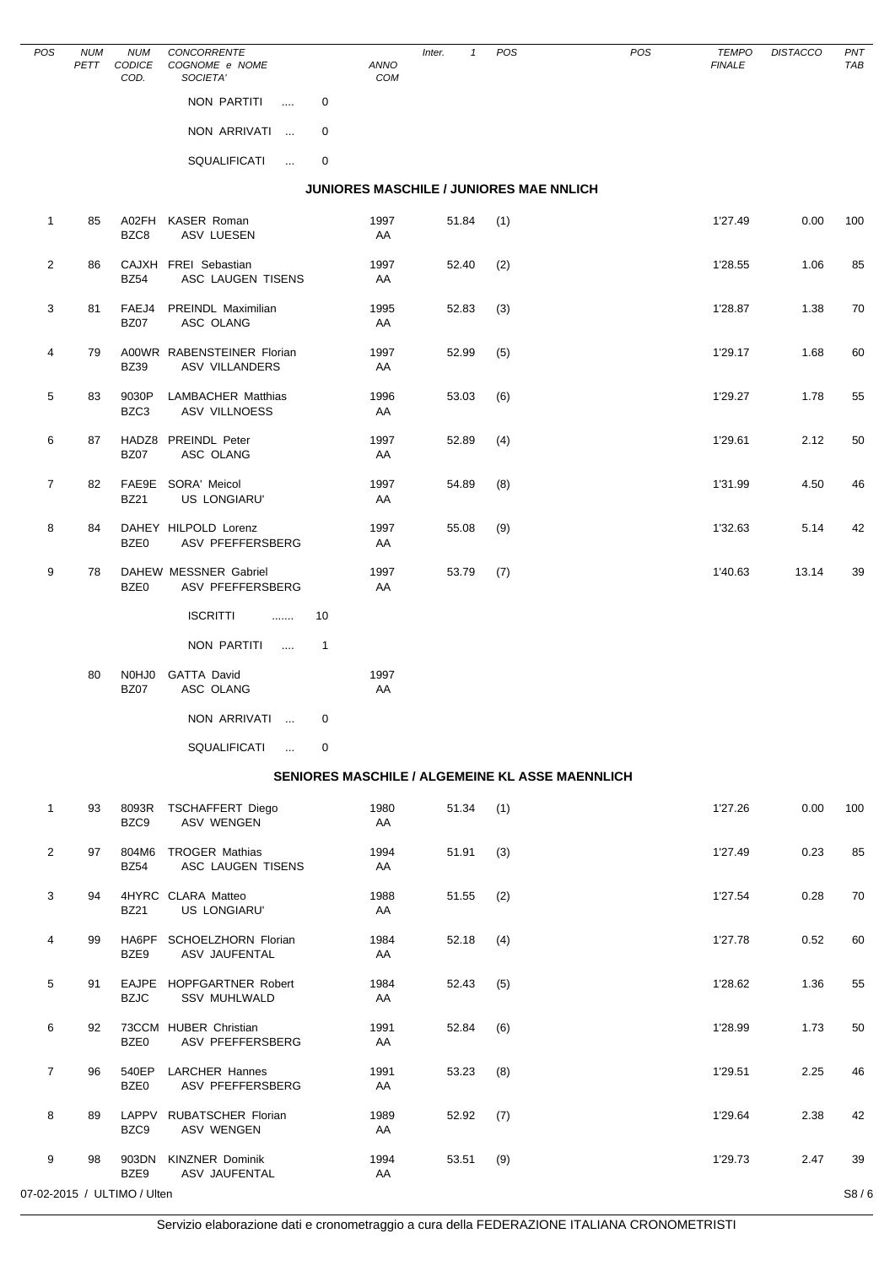| POS            | <b>NUM</b><br>PETT | <b>NUM</b><br>CODICE<br>COD. | <b>CONCORRENTE</b><br>COGNOME e NOME<br>SOCIETA'    | ANNO<br>COM                             | $\mathbf{1}$<br>Inter. | POS | POS                                             | TEMPO<br><b>FINALE</b> | <b>DISTACCO</b> | PNT<br>TAB |
|----------------|--------------------|------------------------------|-----------------------------------------------------|-----------------------------------------|------------------------|-----|-------------------------------------------------|------------------------|-----------------|------------|
|                |                    |                              | NON PARTITI<br>$\cdots$                             | 0                                       |                        |     |                                                 |                        |                 |            |
|                |                    |                              | NON ARRIVATI                                        | 0                                       |                        |     |                                                 |                        |                 |            |
|                |                    |                              | SQUALIFICATI<br>$\ldots$                            | 0                                       |                        |     |                                                 |                        |                 |            |
|                |                    |                              |                                                     | JUNIORES MASCHILE / JUNIORES MAE NNLICH |                        |     |                                                 |                        |                 |            |
| $\mathbf{1}$   | 85                 | A02FH<br>BZC8                | <b>KASER Roman</b><br>ASV LUESEN                    | 1997<br>AA                              | 51.84                  | (1) |                                                 | 1'27.49                | 0.00            | 100        |
| $\overline{2}$ | 86                 | <b>BZ54</b>                  | CAJXH FREI Sebastian<br>ASC LAUGEN TISENS           | 1997<br>AA                              | 52.40                  | (2) |                                                 | 1'28.55                | 1.06            | 85         |
| 3              | 81                 | FAEJ4<br><b>BZ07</b>         | PREINDL Maximilian<br>ASC OLANG                     | 1995<br>AA                              | 52.83                  | (3) |                                                 | 1'28.87                | 1.38            | 70         |
| 4              | 79                 | <b>BZ39</b>                  | A00WR RABENSTEINER Florian<br><b>ASV VILLANDERS</b> | 1997<br>AA                              | 52.99                  | (5) |                                                 | 1'29.17                | 1.68            | 60         |
| 5              | 83                 | 9030P<br>BZC3                | LAMBACHER Matthias<br><b>ASV VILLNOESS</b>          | 1996<br>AA                              | 53.03                  | (6) |                                                 | 1'29.27                | 1.78            | 55         |
| 6              | 87                 | <b>BZ07</b>                  | HADZ8 PREINDL Peter<br>ASC OLANG                    | 1997<br>AA                              | 52.89                  | (4) |                                                 | 1'29.61                | 2.12            | 50         |
| 7              | 82                 | <b>BZ21</b>                  | FAE9E SORA' Meicol<br>US LONGIARU'                  | 1997<br>AA                              | 54.89                  | (8) |                                                 | 1'31.99                | 4.50            | 46         |
| 8              | 84                 | BZE0                         | DAHEY HILPOLD Lorenz<br>ASV PFEFFERSBERG            | 1997<br>AA                              | 55.08                  | (9) |                                                 | 1'32.63                | 5.14            | 42         |
| 9              | 78                 | BZE0                         | DAHEW MESSNER Gabriel<br>ASV PFEFFERSBERG           | 1997<br>AA                              | 53.79                  | (7) |                                                 | 1'40.63                | 13.14           | 39         |
|                |                    |                              | <b>ISCRITTI</b><br>.                                | 10                                      |                        |     |                                                 |                        |                 |            |
|                |                    |                              | NON PARTITI<br>$\sim$                               | $\overline{1}$                          |                        |     |                                                 |                        |                 |            |
|                | 80                 | N0HJ0<br><b>BZ07</b>         | GATTA David<br>ASC OLANG                            | 1997<br>AA                              |                        |     |                                                 |                        |                 |            |
|                |                    |                              | NON ARRIVATI<br><b>Service</b>                      | 0                                       |                        |     |                                                 |                        |                 |            |
|                |                    |                              | SQUALIFICATI                                        | 0                                       |                        |     |                                                 |                        |                 |            |
|                |                    |                              |                                                     |                                         |                        |     | SENIORES MASCHILE / ALGEMEINE KL ASSE MAENNLICH |                        |                 |            |
| $\mathbf{1}$   | 93                 | 8093R<br>BZC9                | <b>TSCHAFFERT Diego</b><br><b>ASV WENGEN</b>        | 1980<br>AA                              | 51.34                  | (1) |                                                 | 1'27.26                | 0.00            | 100        |
| 2              | 97                 | <b>BZ54</b>                  | 804M6 TROGER Mathias<br>ASC LAUGEN TISENS           | 1994<br>AA                              | 51.91                  | (3) |                                                 | 1'27.49                | 0.23            | 85         |
| 3              | 94                 | <b>BZ21</b>                  | 4HYRC CLARA Matteo<br><b>US LONGIARU'</b>           | 1988<br>AA                              | 51.55                  | (2) |                                                 | 1'27.54                | 0.28            | 70         |
| 4              | 99                 | BZE9                         | HA6PF SCHOELZHORN Florian<br>ASV JAUFENTAL          | 1984<br>AA                              | 52.18                  | (4) |                                                 | 1'27.78                | 0.52            | 60         |
| 5              | 91                 | <b>BZJC</b>                  | EAJPE HOPFGARTNER Robert<br><b>SSV MUHLWALD</b>     | 1984<br>AA                              | 52.43                  | (5) |                                                 | 1'28.62                | 1.36            | 55         |
| 6              | 92                 | BZE0                         | 73CCM HUBER Christian<br>ASV PFEFFERSBERG           | 1991<br>AA                              | 52.84                  | (6) |                                                 | 1'28.99                | 1.73            | 50         |
| 7              | 96                 | 540EP<br>BZE0                | <b>LARCHER Hannes</b><br>ASV PFEFFERSBERG           | 1991<br>AA                              | 53.23                  | (8) |                                                 | 1'29.51                | 2.25            | 46         |
| 8              | 89                 | BZC9                         | LAPPV RUBATSCHER Florian<br><b>ASV WENGEN</b>       | 1989<br>AA                              | 52.92                  | (7) |                                                 | 1'29.64                | 2.38            | 42         |
| 9              | 98                 | BZE9                         | 903DN KINZNER Dominik<br>ASV JAUFENTAL              | 1994<br>AA                              | 53.51                  | (9) |                                                 | 1'29.73                | 2.47            | 39         |
|                |                    | 07-02-2015 / ULTIMO / Ulten  |                                                     |                                         |                        |     |                                                 |                        |                 | S8/6       |